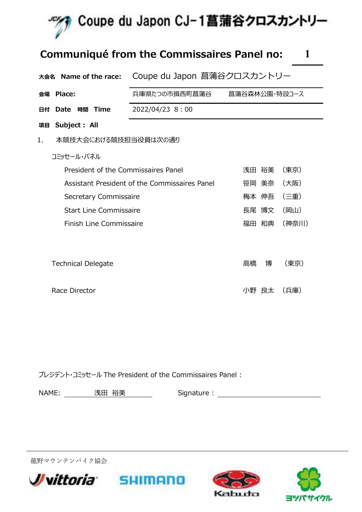

### Communiqué from the Commissaires Panel no: 1

|    | 大会名 Name of the race:               | Coupe du Japon 菖蒲谷クロスカントリー                    |               |       |
|----|-------------------------------------|-----------------------------------------------|---------------|-------|
|    | 会場 Place:                           | 兵庫県たつの市揖西町菖蒲谷                                 | 菖蒲谷森林公園・特設コース |       |
| 日付 | 時間 Time<br>Date                     | 2022/04/23 8:00                               |               |       |
| 項目 | Subject : All                       |                                               |               |       |
| 1. | 本競技大会における競技担当役員は次の通り                |                                               |               |       |
|    | コミッセール・パネル                          |                                               |               |       |
|    | President of the Commissaires Panel |                                               | 浅田 裕美         | (東京)  |
|    |                                     | Assistant President of the Commissaires Panel | 笹岡 美奈         | (大阪)  |
|    | Secretary Commissaire               |                                               | 梅本 伸吾         | (三重)  |
|    | Start Line Commissaire              |                                               | 長尾 博文         | (岡山)  |
|    | Finish Line Commissaire             |                                               | 福田 和典         | (神奈川) |
|    |                                     |                                               |               |       |
|    | <b>Technical Delegate</b>           |                                               | 高橋<br>博       | (東京)  |
|    | Race Director                       |                                               | 良太<br>小野      | (兵庫)  |

プレジデント・コミッセール The President of the Commissaires Panel :

**SHIMANO** 

| <b>NAME</b> | ユハーナ<br>. <del>.</del><br>. <b>«A</b><br>--<br>一文工 | $i$ anaturo<br>Sidhature |
|-------------|----------------------------------------------------|--------------------------|
|             |                                                    |                          |

龍野マウンテンバイク協会





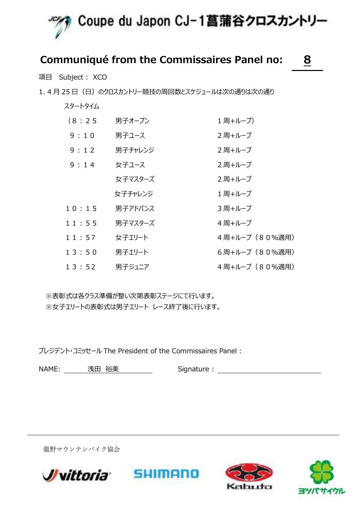

### Communiqué from the Commissaires Panel no: 8

項目 Subject : XCO

1.4 月 25 日 (日) のクロスカントリー競技の周回数とスケジュールは次の通りは次の通り

| (8:25) | 男子オープン  | 1 周+ループ)       |
|--------|---------|----------------|
| 9:10   | 男子ユース   | 2 周+ループ        |
| 9:12   | 男子チャレンジ | 2 周+ループ        |
| 9:14   | 女子ユース   | 2 周+ループ        |
|        | 女子マスターズ | 2 周+ループ        |
|        | 女子チャレンジ | 1 周+ループ        |
| 10:15  | 男子アドバンス | 3 周+ループ        |
| 11:55  | 男子マスターズ | 4 周+ループ        |
| 11:57  | 女子エリート  | 4周+ループ (80%適用) |
| 13:50  | 男子エリート  | 6周+ループ (80%適用) |
| 13:52  | 男子ジュニア  | 4 周+ル−プ(80%適用) |

※表彰式は各クラス準備が整い次第表彰ステージにて行います。 ※女子エリートの表彰式は男子エリート レース終了後に行います。

プレジデント・コミッセール The President of the Commissaires Panel :

NAME: 浅田 裕美 Signature :

龍野マウンテンバイク協会







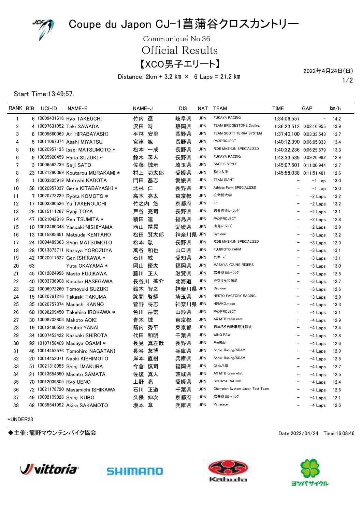

Communique<sup>'</sup> No.36

Official Results

【XCO男子エリート】

Distance:  $2km + 3.2 km \times 6$  Laps = 21.2 km

1/2 2022年4月24日(日)

#### Start Time:13:49:57.

| RANK BIB       |    | UCI-ID                    | NAME-E                             | NAME-J    | DIS      | NAT        | <b>TEAM</b>                     | TIME                     | GAP               | km/h |
|----------------|----|---------------------------|------------------------------------|-----------|----------|------------|---------------------------------|--------------------------|-------------------|------|
| $\mathbf{1}$   |    |                           | 6 10009431616 Ryo TAKEUCHI         | 竹内 遼      | 岐阜県      | <b>JPN</b> | <b>FUKAYA RACING</b>            | 1:34:06.557              | $\qquad \qquad -$ | 14.2 |
| $\overline{2}$ |    |                           | 4 10007631052 Toki SAWADA          | 時<br>沢田   | 静岡県      | <b>JPN</b> | <b>TEAM BRIDGESTONE Cycling</b> | 1:36:23.512 0:02:16.955  |                   | 13.9 |
| 3              |    |                           | 8 10009660069 Ari HIRABAYASHI      | 平林 安里     | 長野県      | <b>JPN</b> | TEAM SCOTT TERRA SYSTEM         | 1:37:40.100 0:03:33.543  |                   | 13.7 |
| 4              |    |                           | 5 10011067074 Asahi MIYATSU        | 宮津 旭      | 長野県      | <b>JPN</b> | PAXPROJECT                      | 1:40:12.390 0:06:05.833  |                   | 13.4 |
| 5              |    |                           | 16 10020957135 Issei MATSUMOTO *   | 松本 一成     | 長野県      | <b>JPN</b> | RIDE MASHUN SPECIALIZED         | 1:40:32.236 0:06:25.679  |                   | 13.3 |
| 6              |    |                           | 9 10085920459 Raito SUZUKI *       | 鈴木 来人     | 長野県      | <b>JPN</b> | <b>FUKAYA RACING</b>            | 1:43:33.539 0:09:26.982  |                   | 12.9 |
| 7              |    | 3 10006562739 Seiji SATO  |                                    | 佐藤<br>誠示  | 埼玉県      | <b>JPN</b> | SAGE'S STYLE                    | 1:45:07.501 0:11:00.944  |                   | 12.7 |
| 8              |    |                           | 23 10021290369 Koutarou MURAKAMI * | 村上 功太郎    | 愛媛県      | <b>JPN</b> | 松山大学                            | 1:45:58.038 0:11:51.481  |                   | 12.6 |
| 9              |    |                           | 1 10003805919 Motoshi KADOTA       | 基志<br>門田  | 愛媛県      | <b>JPN</b> | <b>TEAM GIANT</b>               |                          | $-1$ Lap          | 13.0 |
| 10             |    |                           | 58 10020957337 Gene KITABAYASHI *  | 北林仁       | 長野県      | <b>JPN</b> | Athlete Farm SPECIALIZED        |                          | $-1$ Lap          | 13.0 |
| 11             |    |                           | 7 10020773239 Ryota KOMOTO *       | 高本 亮太     | 東京都      | <b>JPN</b> | 立命館大学                           | $\overline{\phantom{m}}$ | $-2$ Laps         | 13.2 |
| 12             |    |                           | 17 10003390536 Yu TAKENOUCHI       | 竹之内<br>悠  | 京都府      | <b>JPN</b> | $\frac{1}{2}$                   |                          | $-2$ Laps         | 13.2 |
| 13             |    | 29 10015111267 Ryoji TOYA |                                    | 戸谷<br>亮司  | 長野県      | <b>JPN</b> | 岩井商会レーシング                       | $\overline{\phantom{0}}$ | $-2$ Laps         | 13.1 |
| 14             |    |                           | 47 10021042819 Ren TSUMITA *       | 積田<br>連   | 福島県      | <b>JPN</b> | PAXPROJECT                      |                          | $-2$ Laps         | 12.8 |
| 15             |    |                           | 10 10013460348 Yasuaki NISHIYAMA   | 西山 靖晃     | 愛媛県      | <b>JPN</b> | 山鳥レーシング                         |                          | $-2$ Laps         | 12.9 |
| 16             |    |                           | 13 10015885651 Matsuda KENTARO     | 賢太郎<br>松田 | 神奈川県 JPN |            | Cyclone                         |                          | $-3$ Laps         | 13.2 |
| 17             |    |                           | 24 10004489363 Shun MATSUMOTO      | 駿<br>松本   | 長野県      | <b>JPN</b> | RIDE MASHUN SPECIALIZED         | $\overline{\phantom{0}}$ | $-3$ Laps         | 12.9 |
| 18             |    |                           | 28 10013873711 Kazuya YOROZUYA     | 萬谷<br>和也  | 山口県      | JPN        | <b>FUJIMOTO FARM</b>            |                          | $-3$ Laps         | 13.1 |
| 19             |    |                           | 42 10020917527 Gen ISHIKAWA *      | 石川 絃      | 愛知県      | <b>JPN</b> | サッサーズ                           |                          | $-3$ Laps         | 13.1 |
| 20             | 63 |                           | Yuta OKAYAMA *                     | 岡山<br>優太  | 福岡県      | <b>JPN</b> | MASAYA YOUNG RIDERS             | $\overline{\phantom{0}}$ | $-3$ Laps         | 13.0 |
| 21             |    |                           | 45 10012824996 Masto FUJIKAWA      | 藤川 正人     | 滋賀県      | <b>JPN</b> | 岩井商会レーシング                       | $\overline{\phantom{0}}$ | $-3$ Laps         | 12.5 |
| 22             |    |                           | 40 10003736908 Kosuke HASEGAWA     | 長谷川 拡介    | 北海道      | <b>JPN</b> | みなそら北海道                         | $\overline{\phantom{0}}$ | $-3$ Laps         | 12.7 |
| 23             |    |                           | 22 10006972260 Tomoyuki SUZUKI     | 鈴木 智之     | 神奈川県 JPN |            | Cyclone                         | $\overline{\phantom{0}}$ | $-3$ Laps         | 12.6 |
| 24             |    |                           | 15 10020761216 Takaaki TAKUMA      | 詫間 啓耀     | 埼玉県      | <b>JPN</b> | NESTO FACTORY RACING            |                          | $-3$ Laps         | 12.9 |
| 25             |    |                           | 35 10020757374 Masashi KANNO       | 菅野 将志     | 神奈川県 JPN |            | HIRAKO.mode                     |                          | $-4$ Laps         | 13.3 |
| 26             |    |                           | 60 10098209450 Takehiro IROKAWA *  | 色川 岳宏     | 山形県      | <b>JPN</b> | PAXPROJECT                      |                          | $-4$ Laps         | 13.1 |
| 27             |    |                           | 30 10008702803 Makoto AOKI         | 青木 誠      | 東京都      | <b>JPN</b> | AX MTB team eliet               |                          | $-4$ Laps         | 12.9 |
| 28             |    |                           | 19 10013460550 Shuhei YANAI        | 箭内<br>秀平  | 東京都      | <b>JPN</b> | 日本ろう自転車競技協会                     |                          | $-4$ Laps         | 13.4 |
| 29             |    |                           | 34 10007453422 Kazuaki SHIROTA     | 和明<br>代田  | 千葉県      | <b>JPN</b> | <b>WING PAW</b>                 |                          | $-4$ Laps         | 12.8 |
| 30             |    |                           | 92 10107158409 Masaya OSAMI *      | 真左哉<br>長見 | 長野県      | <b>JPN</b> | ProRide                         |                          | $-4$ Laps         | 12.6 |
| 31             |    |                           | 46 10014452576 Tomohiro NAGATANI   | 友博<br>長谷  | 兵庫県      | <b>JPN</b> | Sonic-Racing/SRAM               |                          | $-4$ Laps         | 12.9 |
| 32             |    |                           | 20 10014452071 Naoki KISHIMOTO     | 直樹<br>岸本  | 兵庫県      | <b>JPN</b> | Sonic-Racing/SRAM               |                          | $-4$ Laps         | 12.5 |
| 33             |    |                           | 51 10021318055 Shinii IMAKURA      | 慎司<br>今倉  | 福岡県      | <b>JPN</b> | Click八幡                         |                          | $-4$ Laps         | 12.7 |
| 34             |    |                           | 21 10013654550 Masato SAMATA       | 佐復<br>真人  | 茨城県      | <b>JPN</b> | AX MTB team eliet               |                          | $-4$ Laps         | 12.5 |
| 35             |    | 70 10012039805 Ryo UENO   |                                    | 上野 亮      | 愛媛県      | <b>JPN</b> | SOHAYA RACING                   |                          | $-4$ Laps         | 12.4 |
| 36             |    |                           | 72 10021178720 Masamichi ISHIKAWA  | 石川 正道     | 千葉県      | <b>JPN</b> | Champion System Japan Test Team |                          | $-4$ Laps         | 12.6 |
| 37             |    |                           | 49 10002109328 Shinii KUBO         | 久保 伸次     | 京都府      | <b>JPN</b> | 岩井商会レーシング                       |                          | $-4$ Laps         | 12.1 |
| 38             |    |                           | 68 10035541992 Akira SAKAMOTO      | 坂本 章      | 兵庫県      | <b>JPN</b> | Panaracer                       |                          | $-4$ Laps         | 12.6 |

\*UNDER23

◆主催:龍野マウンテンバイク協会 Date:2022/04/24 Time:16:08:46







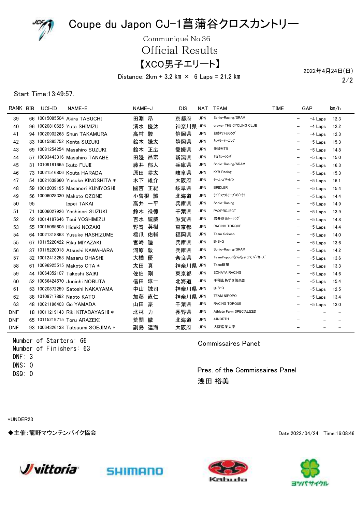

Communique<sup>'</sup> No.36

Official Results

【XCO男子エリート】

Distance:  $2km + 3.2 km \times 6$  Laps = 21.2 km

2/2 2022年4月24日(日)

#### Start Time:13:49:57.

| RANK BIB   |    | UCI-ID                     | NAME-E                            | NAME-J |    | DIS      | NAT        | <b>TEAM</b>              | <b>TIME</b>              | GAP |                          | km/h |
|------------|----|----------------------------|-----------------------------------|--------|----|----------|------------|--------------------------|--------------------------|-----|--------------------------|------|
| 39         |    |                            | 66 10015085504 Akira TABUCHI      | 田淵 昂   |    | 京都府      | <b>JPN</b> | Sonic-Racing/SRAM        | $\overline{\phantom{0}}$ |     | $-4$ Laps                | 12.3 |
| 40         |    |                            | 96 10020810625 Yuta SHIMIZU       | 清水     | 優汰 | 神奈川県 JPN |            | drawer THE CYCLING CLUB  |                          |     | -4 Laps                  | 12.2 |
| 41         |    |                            | 94 10020902268 Shun TAKAMURA      | 高村     | 駿  | 静岡県      | <b>JPN</b> | おされフィッシング                |                          |     | $-4$ Laps                | 12.3 |
| 42         |    |                            | 33 10015885752 Kenta SUZUKI       | 鈴木     | 謙太 | 静岡県      | <b>JPN</b> | カントリーモーニング               |                          |     | $-5$ Laps                | 15.3 |
| 43         |    |                            | 69 10081254254 Masahiro SUZUKI    | 鈴木 正広  |    | 愛媛県      | <b>JPN</b> | 愛媛MTB                    |                          |     | $-5$ Laps                | 14.8 |
| 44         |    |                            | 57 10093443316 Masahiro TANABE    | 田邊     | 昌宏 | 新潟県      | <b>JPN</b> | サガミレーシング                 |                          |     | $-5$ Laps                | 15.0 |
| 45         |    | 31 10109181665 Ikuto FUJII |                                   | 藤井 郁人  |    | 兵庫県      | <b>JPN</b> | Sonic-Racing/SRAM        |                          |     | $-5$ Laps                | 16.3 |
| 46         |    |                            | 73 10021516806 Kouta HARADA       | 原田     | 耕太 | 岐阜県      | <b>JPN</b> | <b>KYB Racing</b>        |                          |     | $-5$ Laps                | 15.3 |
| 47         |    |                            | 54 10021638660 Yusuke KINOSHITA * | 木下     | 雄介 | 大阪府      | <b>JPN</b> | チーム・ガチャピン                |                          |     | $-5$ Laps                | 16.1 |
| 48         |    |                            | 59 10012039195 Masanori KUNIYOSHI | 國吉     | 正紀 | 岐阜県      | <b>JPN</b> | <b>BRIDLER</b>           |                          |     | $-5$ Laps                | 15.4 |
| 49         |    |                            | 56 10006028330 Makoto OZONE       | 小曽根 誠  |    | 北海道      | <b>JPN</b> | ライトファクトリープロジェクト          |                          |     | $-5$ Laps                | 14.4 |
| 50         | 95 |                            | Ippei TAKAI                       | 高井 一平  |    | 兵庫県      | <b>JPN</b> | Sonic-Racing             |                          |     | $-5$ Laps                | 14.9 |
| 51         |    |                            | 71 10006027926 Yoshinori SUZUKI   | 鈴木     | 禄徳 | 千葉県      | <b>JPN</b> | PAXPROJECT               |                          |     | $-5$ Laps                | 13.9 |
| 52         |    |                            | 62 10014187646 Toui YOSHIMIZU     | 吉水 統威  |    | 滋賀県      | <b>JPN</b> | 岩井商会レーシング                |                          |     | $-5$ Laps                | 14.8 |
| 53         |    |                            | 55 10015085605 Hideki NOZAKI      | 野嵜     | 英樹 | 東京都      | JPN        | <b>RACING TORQUE</b>     |                          |     | -5 Laps                  | 14.4 |
| 54         |    |                            | 64 10021318863 Yusuke HASHIZUME   | 橋爪 佑輔  |    | 福岡県      | <b>JPN</b> | Team Sciroco             |                          |     | $-5$ Laps                | 14.0 |
| 55         |    |                            | 67 10115220422 Riku MIYAZAKI      | 宮崎     | 陸  | 兵庫県      | <b>JPN</b> | $B \cdot B \cdot Q$      |                          |     | $-5$ Laps                | 13.6 |
| 56         |    |                            | 37 10115220018 Atsushi KAWAHARA   | 河原 敦   |    | 兵庫県      | <b>JPN</b> | Sonic-Racing/SRAM        |                          |     | $-5$ Laps                | 14.2 |
| 57         |    |                            | 32 10012413253 Masaru OHASHI      | 大橋     | 優  | 奈良県      | <b>JPN</b> | TeamPoppo/なんちゃってバイカーズ    |                          |     | $-5$ Laps                | 13.6 |
| 58         |    |                            | 61 10096925515 Makoto OTA *       | 太田 真   |    | 神奈川県 JPN |            | Team轍屋                   |                          |     | $-5$ Laps                | 13.3 |
| 59         |    |                            | 44 10064352107 Takeshi SAIKI      | 佐伯     | 剛  | 東京都      | JPN        | SOHAYA RACING            |                          |     | $-5$ Laps                | 14.6 |
| 60         |    |                            | 52 10066424570 Junichi NOBUTA     | 信田     | 淳一 | 北海道      | <b>JPN</b> | 手稲山あずき倶楽部                |                          |     | $-5$ Laps                | 15.4 |
| 61         |    |                            | 53 10020872259 Satoshi NAKAYAMA   | 中山一    | 誠司 | 神奈川県 JPN |            | $B \cdot B \cdot Q$      |                          |     | $-5$ Laps                | 12.5 |
| 62         |    |                            | 38 10109717892 Naoto KATO         | 加藤     | 直仁 | 神奈川県 JPN |            | <b>TEAM NIPOPO</b>       |                          |     | $-5$ Laps                | 13.4 |
| 63         |    |                            | 48 10021196403 Go YAMADA          | 山田     | 豪  | 千葉県      | JPN        | RACING TORQUE            |                          |     | $-5$ Laps                | 13.0 |
| <b>DNF</b> |    |                            | 18 10011219143 Riki KITABAYASHI * | 北林     | 力  | 長野県      | <b>JPN</b> | Athlete Farm SPECIALIZED |                          |     | $\overline{\phantom{0}}$ |      |
| <b>DNF</b> |    |                            | 65 10115219715 Toru ARAZEKI       | 荒関     | 徹  | 北海道      | <b>JPN</b> | 44NORTH                  |                          |     |                          |      |
| <b>DNF</b> |    |                            | 93 10064326138 Tatsuumi SOEJIMA * | 副島     | 達海 | 大阪府      | <b>JPN</b> | 大阪産業大学                   |                          |     |                          |      |

Number of Starters: 66 Number of Finishers: 63 DNS: 0 DNF: 3 DSQ: 0

Commissaires Panel:

Pres. of the Commissaires Panel 浅田 裕美

\*UNDER23

◆主催:龍野マウンテンバイク協会 Date:2022/04/24 Time:16:08:46







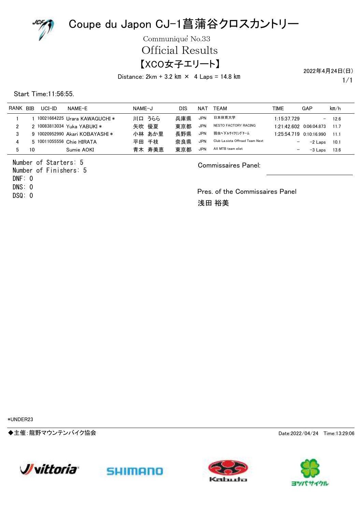

Communique<sup>'</sup> No.33

Official Results

### 【XCO女子エリート】

Distance:  $2km + 3.2 km \times 4$  Laps = 14.8 km

2022年4月24日(日)

1/1

Start Time:11:56:55.

| <b>RANK</b> | <b>BIB</b> | $UCI$ -ID | NAME-F                          | NAME-J   | DIS | NAT        | TEAM                            | TIME                     | GAP                      | km/h |
|-------------|------------|-----------|---------------------------------|----------|-----|------------|---------------------------------|--------------------------|--------------------------|------|
|             |            |           | 10021664225 Urara KAWAGUCHI *   | 川口 うらら   | 兵庫県 | <b>JPN</b> | 日本体育大学                          | 1:15:37.729              | $\overline{\phantom{0}}$ | 12.6 |
| າ           |            |           | 2 10083813034 Yuka YABUKI *     | 優夏<br>矢吹 | 東京都 | <b>JPN</b> | NESTO FACTORY RACING            | 1:21:42.602              | 0:06:04.873              | 11.7 |
| 3           |            |           | 9 10020952990 Akari KOBAYASHI * | 小林 あか里   | 長野県 | <b>JPN</b> | 弱虫ペダルサイクリングチーム                  |                          | 1:25:54.719 0:10:16.990  | 11.1 |
| 4           |            |           | 5 10011055556 Chie HIRATA       | 平田 千枝    | 奈良県 | <b>JPN</b> | Club La.sista Offroad Team Next |                          | -2 Laps                  | 10.1 |
|             | 10         |           | Sumie AOKI                      | 青木 寿美恵   | 東京都 | <b>JPN</b> | AX MTB team eliet               | $\overline{\phantom{m}}$ | -3 Laps                  | 13.6 |

Number of Starters: 5 Number of Finishers: 5 DNS: 0 DNF: 0

DSQ: 0

#### Commissaires Panel:

Pres. of the Commissaires Panel 浅田 裕美

\*UNDER23

◆主催:龍野マウンテンバイク協会 Date:2022/04/24 Time:13:29:06







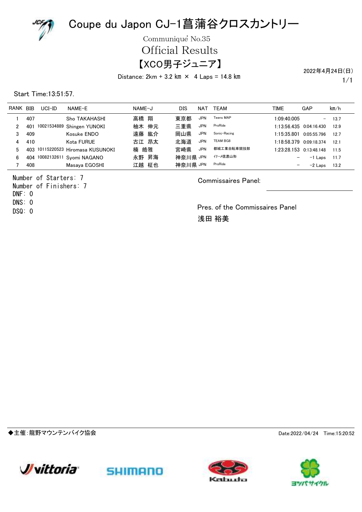

Communique<sup>'</sup> No.35

Official Results

### 【XCO男子ジュニア】

Distance:  $2km + 3.2 km \times 4$  Laps = 14.8 km

1/1 2022年4月24日(日)

Start Time:13:51:57.

| <b>RANK</b> | <b>BIB</b> | $UCI$ -ID | NAME-F                            | NAME-J   | DIS      | NAT        | <b>TEAM</b>      | TIME                     | GAP                       | km/h |
|-------------|------------|-----------|-----------------------------------|----------|----------|------------|------------------|--------------------------|---------------------------|------|
|             | 407        |           | Sho TAKAHASHI                     | 高橋 翔     | 東京都      | <b>JPN</b> | <b>Teens MAP</b> | 1:09:40.005              | $\overline{\phantom{0}}$  | 13.7 |
|             | 401        |           | 10021534889 Shingen YUNOKI        | 柚木 伸元    | 三重県      | <b>JPN</b> | ProRide          | 1:13:56.435              | 0:04:16.430               | 12.9 |
| 3           | 409        |           | Kosuke ENDO                       | 遠藤 紘介    | 岡山県      | <b>JPN</b> | Sonic-Racing     | 1:15:35.801              | 0.05:55.796               | 12.7 |
| 4           | 410        |           | Kota FURUE                        | 古江 昂太    | 北海道      | <b>JPN</b> | <b>TEAM BG8</b>  | 1:18:58.379              | 0.0918374                 | 12.1 |
| 5.          |            |           | 403 10115220523 Hiromasa KUSUNOKI | 皓雅<br>楠  | 宮崎県      | <b>JPN</b> | 都城工業自転車競技部       |                          | $1:23:28.153$ 0:13:48.148 | 11.5 |
| 6           | 404        |           | 10082132611 Svomi NAGANO          | 永野 昇海    | 神奈川県 JPN |            | イナーメ信濃山形         | $\qquad \qquad -$        | $-1$ Laps                 | 11.7 |
|             | 408        |           | Masaya EGOSHI                     | 柾也<br>江越 | 神奈川県 JPN |            | ProRide          | $\overline{\phantom{m}}$ | $-2$ Laps                 | 13.2 |

Number of Starters: 7 Number of Finishers: 7 DNS: 0 DNF: 0 DSQ: 0

Commissaires Panel:

Pres. of the Commissaires Panel 浅田 裕美

◆主催:龍野マウンテンバイク協会 Date:2022/04/24 Time:15:20:52







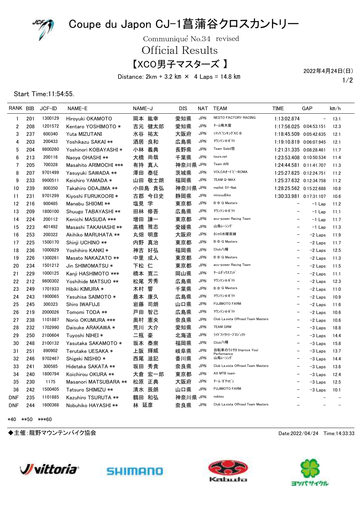

Communique No.34 revised

Official Results

【XCO男子マスターズ 】

Distance:  $2km + 3.2 km \times 4 Laps = 14.8 km$ 

1/2 2022年4月24日(日)

Start Time:11:54:55.

| RANK BIB                |     | JCF-ID  | NAME-E                | NAME-J    | DIS      | NAT        | <b>TEAM</b>                          | TIME                     | GAP                      | km/h |
|-------------------------|-----|---------|-----------------------|-----------|----------|------------|--------------------------------------|--------------------------|--------------------------|------|
| 1                       | 201 | 1300129 | Hirovuki OKAMOTO      | 岡本 紘幸     | 愛知県      | <b>JPN</b> | NESTO FACTORY RACING                 | 1:13:02.874              | $\overline{a}$           | 13.1 |
| $\overline{\mathbf{c}}$ | 208 | 1201572 | Kentaro YOSHIMOTO *   | 健太郎<br>吉元 | 愛知県      | <b>JPN</b> | チーム鳴木屋                               | 1:17:56.025 0:04:53.151  |                          | 12.3 |
| 3                       | 237 | 600340  | Yuta MIZUTANI         | 祐太<br>水谷  | 大阪府      | <b>JPN</b> | シマノトリンキング XC B                       | 1:18:45.509 0:05:42.635  |                          | 12.1 |
| 4                       | 203 | 200433  | Yoshikazu SAKAI **    | 酒居<br>良和  | 広島県      | <b>JPN</b> | マウンテン☆ポテト                            | 1:19:10.819 0:06:07.945  |                          | 12.1 |
| 5                       | 204 | 9800260 | Yoshinori KOBAYASHI * | 小林<br>義典  | 長野県      | <b>JPN</b> | Team Soleil悠                         | 1:21:31.335 0:08:28.461  |                          | 11.7 |
| 6                       | 213 | 200116  | Naova OHASHI **       | 大橋<br>尚哉  | 千葉県      | <b>JPN</b> | tours.net                            | 1:23:53.408 0:10:50.534  |                          | 11.4 |
| 7                       | 205 | 700328  | Masahito ARIMOCHI *** | 有持<br>真人  | 神奈川県 JPN |            | Team ARI                             | 1:24:44.581 0:11:41.707  |                          | 11.3 |
| 8                       | 207 | 9701499 | Yasuyuki SAWADA **    | 泰征<br>澤田  | 茨城県      | <b>JPN</b> | VOLCAオードビーBOMA                       | 1:25:27.625 0:12:24.751  |                          | 11.2 |
| 9                       | 233 | 9900511 | Keishiro YAMADA *     | 山田<br>敬士朗 | 福岡県      | <b>JPN</b> | TEAM Q-MAX                           | 1:25:37.632 0:12:34.758  |                          | 11.2 |
| 10                      | 239 | 800350  | Takahiro ODAJIMA **   | 小田島<br>貴弘 | 神奈川県 JPN |            | maillot SY-Nak                       | 1:28:25.562 0:15:22.688  |                          | 10.8 |
| 11                      | 231 | 9701299 | Kiyoshi FURUKOORI *   | 古郡<br>今日史 | 静岡県      | <b>JPN</b> | minzuuBike                           | 1:30:33.981 0:17:31.107  |                          | 10.6 |
| 12                      | 216 | 900485  | Manabu SHIOMI **      | 学<br>塩見   | 東京都      | <b>JPN</b> | B.B.Q Masters                        | $\overline{\phantom{0}}$ | $-1$ Lap                 | 11.2 |
| 13                      | 209 | 1800100 | Shuugo TABAYASHI **   | 田林<br>修吾  | 広島県      | <b>JPN</b> | マウンテン☆ポテト                            |                          | $-1$ Lap                 | 11.1 |
| 14                      | 224 | 200112  | Kenichi MASUDA ***    | 謙一<br>増田  | 東京都      | <b>JPN</b> | acu-power Racing Team                |                          | $-1$ Lap                 | 11.7 |
| 15                      | 223 | 401492  | Masashi TAKAHASHI **  | 雅志<br>高橋  | 愛媛県      | <b>JPN</b> | 山鳥レーシング                              | $\overline{\phantom{0}}$ | $-1$ Lap                 | 11.3 |
| 16                      | 253 | 200322  | Akihiko MARUHATA **   | 丸畑<br>明彦  | 大阪府      | <b>JPN</b> | カシャロ水曜夜練                             | $\overline{\phantom{0}}$ | $-2$ Laps                | 11.9 |
| 17                      | 225 | 1500170 | Shinji UCHINO **      | 内野<br>真治  | 東京都      | <b>JPN</b> | B.B.Q Masters                        |                          | $-2$ Laps                | 11.7 |
| 18                      | 236 | 1000829 | Yoshihiro KANKI *     | 神吉<br>好弘  | 福岡県      | <b>JPN</b> | Click八幡                              | $\overline{\phantom{0}}$ | $-2$ Laps                | 12.5 |
| 19                      | 226 | 1300261 | Masato NAKAZATO **    | 中里<br>成人  | 東京都      | <b>JPN</b> | B.B.Q Masters                        |                          | $-2$ Laps                | 11.3 |
| 20                      | 234 | 1501212 | Jin SHIMOMATSU *      | 下松<br>仁   | 東京都      | <b>JPN</b> | acu-power Racing Team                | $\overline{\phantom{0}}$ | $-2$ Laps                | 11.5 |
| 21                      | 229 | 1000125 | Kanji HASHIMOTO ***   | 寛二<br>橋本  | 岡山県      | <b>JPN</b> | チームダックスフント                           |                          | $-2$ Laps                | 11.1 |
| 22                      | 212 | 9800302 | Yoshihide MATSUO **   | 芳秀<br>松尾  | 広島県      | <b>JPN</b> | マウンテン☆ポテト                            |                          | $-2$ Laps                | 12.3 |
| 23                      | 249 | 1701933 | Hibiki KIMURA *       | 響<br>木村   | 千葉県      | <b>JPN</b> | B.B.Q Masters                        |                          | $-2$ Laps                | 11.0 |
| 24                      | 243 | 1900065 | Yasuhisa SAIMOTO *    | 康久<br>最本  | 広島県      | <b>JPN</b> | マウンテン☆ポテト                            |                          | $-2$ Laps                | 10.9 |
| 25                      | 245 | 300323  | Shiro IWAFUJI         | 岩藤<br>司朗  | 山口県      | <b>JPN</b> | <b>FUJIMOTO FARM</b>                 |                          | $-2$ Laps                | 11.6 |
| 26                      | 219 | 2000026 | Tomomi TODA **        | 智己<br>戸田  | 広島県      | <b>JPN</b> | マウンテン☆ポテト                            |                          | $-2$ Laps                | 10.6 |
| 27                      | 238 | 1101887 | Norio OKUMURA ***     | 憲央<br>奥村  | 奈良県      | <b>JPN</b> | Club La.sista Offroad Team Masters   | $\overline{\phantom{0}}$ | $-2$ Laps                | 10.6 |
| 28                      | 232 | 1702990 | Daisuke ARAKAWA *     | 大介<br>荒川  | 愛知県      | <b>JPN</b> | <b>TEAM GRM</b>                      |                          | $-3$ Laps                | 18.8 |
| 29                      | 250 | 2100604 | Tuyoshi NIHEI *       | 豪<br>二瓶   | 北海道      | <b>JPN</b> | ライトファクトリープロジェクト                      | $\overline{\phantom{0}}$ | $-3$ Laps                | 14.4 |
| 30                      | 248 | 2100132 | Yasutaka SAKAMOTO *   | 泰崇<br>坂本  | 福岡県      | <b>JPN</b> | Click八幡                              | $\overline{\phantom{0}}$ | $-3$ Laps                | 15.8 |
| 31                      | 251 | 890902  | Terutake UESAKA *     | 輝威<br>上阪  | 岐阜県      | <b>JPN</b> | 自転車のウエサカ Improve Your<br>Performance |                          | $-3$ Laps                | 13.7 |
| 32                      | 246 | 9702467 | Shigeki NISHIO *      | 西尾<br>滋記  | 香川県      | <b>JPN</b> | 山鳥レーシング                              | $\overline{\phantom{0}}$ | $-3$ Laps                | 14.4 |
| 33                      | 241 | 300585  | Hidetaka SAKATA **    | 秀貴<br>坂田  | 奈良県      | <b>JPN</b> | Club La.sista Offroad Team Masters   |                          | $-3$ Laps                | 13.6 |
| 34                      | 240 | 1800794 | Koichirou OKURA **    | 宏一郎<br>大倉 | 東京都      | <b>JPN</b> | AX MTB team                          | $\overline{\phantom{0}}$ | $-3$ Laps                | 12.4 |
| 35                      | 230 | 1175    | Masanori MATSUBARA ** | 正典<br>松原  | 大阪府      | <b>JPN</b> | チーム・ガチャピン                            |                          | $-3$ Laps                | 12.5 |
| 36                      | 242 | 1500405 | Tatsuro SHIMIZU **    | 辰朗<br>清水  | 山口県      | <b>JPN</b> | <b>FUJIMOTO FARM</b>                 |                          | $-3$ Laps                | 10.1 |
| <b>DNF</b>              | 235 | 1101885 | Kazuhiro TSURUTA **   | 和弘<br>鶴田  | 神奈川県 JPN |            | nobtec                               |                          |                          |      |
| <b>DNF</b>              | 244 | 1600368 | Nobuhiko HAYASHI **   | 延彦<br>林   | 奈良県      | <b>JPN</b> | Club La.sista Offroad Team Masters   | $\overline{\phantom{0}}$ | $\overline{\phantom{a}}$ |      |

\*40 \*\*50 \*\*\*60

◆主催:龍野マウンテンバイク協会 Date:2022/04/24 Time:14:33:33







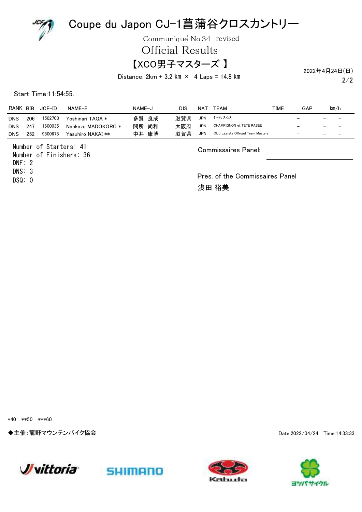

Communique No.34 revised

Official Results

### 【XCO男子マスターズ 】

Distance:  $2km + 3.2 km \times 4$  Laps = 14.8 km

2022年4月24日(日)

2/2

Start Time:11:54:55.

| RANK BIB   |     | JCF-ID  | NAME-E             | NAME-J | DIS | NAT        | TEAM                               | TIME | GAP                                                  | km/h                     |
|------------|-----|---------|--------------------|--------|-----|------------|------------------------------------|------|------------------------------------------------------|--------------------------|
| <b>DNS</b> | 206 | 1502703 | Yoshinari TAGA *   | 多賀 良成  | 滋賀県 | <b>JPN</b> | ダートピストンズ                           |      | $\overline{\phantom{m}}$<br>$\overline{\phantom{0}}$ | $\overline{\phantom{a}}$ |
| <b>DNS</b> | 247 | 1600035 | Naokazu MADOKORO * | 間所 尚和  | 大阪府 | <b>JPN</b> | <b>CHAMPIGNON et TETE RASEE</b>    |      | $\overline{\phantom{m}}$                             |                          |
| <b>DNS</b> | 252 | 9800678 | Yasuhiro NAKAI **  | 中井 康博  | 滋賀県 | <b>JPN</b> | Club La.sista Offroad Team Masters |      | $\overline{\phantom{0}}$                             | $\overline{\phantom{a}}$ |
|            |     |         |                    |        |     |            |                                    |      |                                                      |                          |

Number of Starters: 41 Number of Finishers: 36 DNF: 2

DNS: 3

DSQ: 0

Commissaires Panel:

Pres. of the Commissaires Panel 浅田 裕美

\*40 \*\*50 \*\*\*60

◆主催:龍野マウンテンバイク協会 Date:2022/04/24 Time:14:33:33







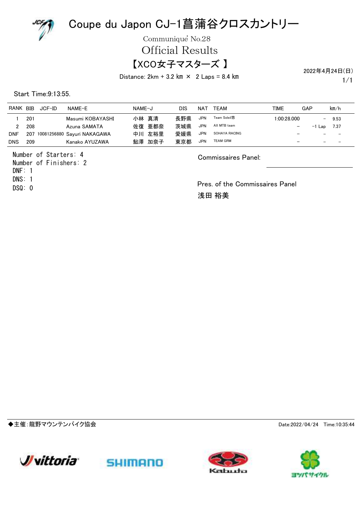

Communique<sup>'</sup> No.28

Official Results

### 【XCO女子マスターズ 】

Distance:  $2km + 3.2 km \times 2$  Laps = 8.4 km

2022年4月24日(日)

1/1

Start Time:9:13:55.

| <b>RANK</b> | BIB | JCF-ID | NAME-F                      | NAME-J | DIS | NAT        | TFAM            | TIME                     | GAP                      | km/h                     |
|-------------|-----|--------|-----------------------------|--------|-----|------------|-----------------|--------------------------|--------------------------|--------------------------|
|             | 201 |        | Masumi KOBAYASHI            | 小林 真清  | 長野県 | <b>JPN</b> | Team Soleil悠    | 1:00:28.000              | $-$                      | 9.53                     |
|             | 208 |        | Azuna SAMATA                | 佐復 亜都奈 | 茨城県 | <b>JPN</b> | AX MTB team     | $\overline{\phantom{m}}$ | $-1$ Lap                 | 7.37                     |
| <b>DNF</b>  | 207 |        | 10081256880 Sayuri NAKAGAWA | 中川 左裕里 | 愛媛県 | <b>JPN</b> | SOHAYA RACING   | $\overline{\phantom{m}}$ | $\overline{\phantom{0}}$ | $\overline{\phantom{a}}$ |
| <b>DNS</b>  | 209 |        | Kanako AYUZAWA              | 鮎澤 加奈子 | 東京都 | <b>JPN</b> | <b>TEAM GRM</b> | $\overline{\phantom{m}}$ |                          |                          |

Number of Starters: 4

Number of Finishers: 2 DNS: 1 DNF: 1 DSQ: 0

Commissaires Panel:

Pres. of the Commissaires Panel 浅田 裕美

◆主催:龍野マウンテンバイク協会 Date:2022/04/24 Time:10:35:44







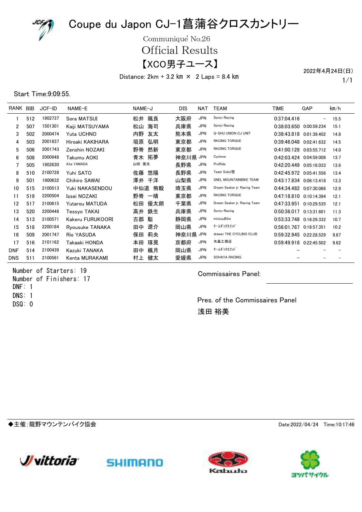

Communique<sup>'</sup> No.26 Official Results

【XCO男子ユース】

Distance:  $2km + 3.2 km \times 2 Laps = 8.4 km$ 

1/1 2022年4月24日(日)

#### Start Time:9:09:55.

| RANK BIB   |     | $JCF$ -ID | NAME-E           | NAME-J    | <b>DIS</b> | NAT        | <b>TEAM</b>                  | <b>TIME</b>             | GAP                      | km/h |
|------------|-----|-----------|------------------|-----------|------------|------------|------------------------------|-------------------------|--------------------------|------|
|            | 512 | 1902737   | Sora MATSUI      | 颯良<br>松井  | 大阪府        | <b>JPN</b> | Sonic-Racing                 | 0:37:04.416             | $\overline{\phantom{a}}$ | 15.5 |
| 2          | 507 | 1501301   | Kaiji MATSUYAMA  | 海司<br>松山  | 兵庫県        | <b>JPN</b> | Sonic-Racing                 | 0:38:03.650 0:00:59.234 |                          | 15.1 |
| 3          | 502 | 2000474   | Yuta UCHNO       | 内野<br>友太  | 熊本県        | <b>JPN</b> | Q-SHU UNION CJ UNIT          | 0:38:43.818 0:01:39.402 |                          | 14.8 |
| 4          | 503 | 2001837   | Hiroaki KAKIHARA | 垣原<br>弘明  | 東京都        | <b>JPN</b> | <b>RACING TORQUE</b>         | 0:39:46.048 0:02:41.632 |                          | 14.5 |
| 5          | 506 | 2001743   | Zenshin NOZAKI   | 野嵜<br>然新  | 東京都        | <b>JPN</b> | <b>RACING TORQUE</b>         | 0:41:00.128 0:03:55.712 |                          | 14.0 |
| 6          | 508 | 2000948   | Takumu AOKI      | 拓夢<br>青木  | 神奈川県 JPN   |            | Cyclone                      | 0:42:03.424 0:04:59.008 |                          | 13.7 |
|            | 505 | 1902630   | Aita YAMADA      | 山田 愛太     | 長野県        | <b>JPN</b> | ProRide                      | 0:42:20.449             | 0:05:16.033              | 13.6 |
| 8          | 510 | 2100728   | Yuhi SATO        | 佐藤<br>悠陽  | 長野県        | <b>JPN</b> | <b>Team Soleil悠</b>          | 0:42:45.972 0:05:41.556 |                          | 13.4 |
| 9          | 501 | 1900632   | Chihiro SAWAI    | 澤井<br>千洋  | 山梨県        | <b>JPN</b> | SNEL MOUNTAINBIKE TEAM       | 0:43:17.834 0:06:13.418 |                          | 13.3 |
| 10         | 515 | 2100513   | Yuki NAKASENDOU  | 中仙道<br>侑毅 | 埼玉県        | <b>JPN</b> | Dream Seeker ir, Racing Team | 0:44:34.482 0:07:30.066 |                          | 12.9 |
| 11         | 519 | 2200504   | Issei NOZAKI     | 野嵜<br>一晴  | 東京都        | <b>JPN</b> | <b>RACING TORQUE</b>         | 0:47:18.810 0:10:14.394 |                          | 12.1 |
| 12         | 517 | 2100615   | Yutarou MATUDA   | 優太朗<br>松田 | 千葉県        | <b>JPN</b> | Dream Seeker jr. Racing Team | 0:47:33.951             | 0:10:29.535              | 12.1 |
| 13         | 520 | 2200448   | Tessyo TAKAI     | 鉄生<br>高井  | 兵庫県        | <b>JPN</b> | Sonic-Racing                 | 0:50:36.017 0:13:31.601 |                          | 11.3 |
| 14         | 513 | 2100571   | Kakeru FURUKOORI | 古郡<br>馸   | 静岡県        | <b>JPN</b> | minzuuBike                   | 0:53:33.748 0:16:29.332 |                          | 10.7 |
| 15         | 518 | 2200184   | Ryousuke TANAKA  | 遼介<br>田中  | 岡山県        | <b>JPN</b> | チームダックスフント                   | 0:56:01.767 0:18:57.351 |                          | 10.2 |
| 16         | 509 | 2001747   | Rio YASUDA       | 保田<br>莉央  | 神奈川県       | JPN        | drawer THE CYCLING CLUB      | 0:59:32.945 0:22:28.529 |                          | 9.67 |
| 17         | 516 | 2101162   | Takaaki HONDA    | 琢晃<br>本田  | 京都府        | <b>JPN</b> | 矢島工務店                        | 0:59:49.918 0:22:45.502 |                          | 9.62 |
| <b>DNF</b> | 514 | 2100439   | Kazuki TANAKA    | 楓月<br>田中  | 岡山県        | <b>JPN</b> | チームダックスフント゛                  |                         |                          |      |
| <b>DNS</b> | 511 | 2100561   | Kenta MURAKAMI   | 健太<br>村上  | 愛媛県        | <b>JPN</b> | <b>SOHAYA RACING</b>         |                         |                          |      |

Number of Starters: 19 Number of Finishers: 17 DNS: 1 DNF: 1 DSQ: 0

Commissaires Panel:

Pres. of the Commissaires Panel 浅田 裕美

◆主催:龍野マウンテンバイク協会 Date:2022/04/24 Time:10:17:46







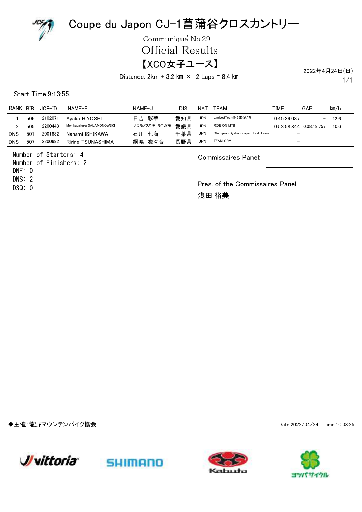

Communique<sup>'</sup> No.29

Official Results

#### 【XCO女子ユース】

2022年4月24日(日)

Distance:  $2km + 3.2 km \times 2 Laps = 8.4 km$ 

1/1

Start Time:9:13:55.

| <b>RANK</b> | <b>BIB</b> | JCF-ID  | NAME-F                    | NAME-J       | DIS | NA1        | TFAM                            | TIME                     | GAP                      | km/h              |
|-------------|------------|---------|---------------------------|--------------|-----|------------|---------------------------------|--------------------------|--------------------------|-------------------|
|             | 506        | 2102071 | Avaka HIYOSHI             | 日吉 彩華        | 愛知県 | <b>JPN</b> | LimitedTeam846まるいち              | 0:45:39.087              | $\overline{\phantom{0}}$ | 12.6              |
|             | 505        | 2200443 | Monikasakura SALAMONOWSKI | サラモノフスキ モニカ桜 | 愛媛県 | JPN        | RIDE ON MTB                     | 0:53:58.844              | 0.08:19.757              | 10.6              |
| <b>DNS</b>  | 501        | 2001832 | Nanami ISHIKAWA           | 七海<br>石川     | 千葉県 | JPN        | Champion System Japan Test Team | $\overline{\phantom{m}}$ | $\overline{\phantom{0}}$ | $\qquad \qquad -$ |
| <b>DNS</b>  | 507        | 2200692 | Ririne TSUNASHIMA         | 綱嶋 凛々音       | 長野県 | <b>JPN</b> | TEAM GRM                        | $\overline{\phantom{m}}$ | $\overline{\phantom{0}}$ |                   |

Number of Starters: 4

Number of Finishers: 2 DNS: 2  $DNF: 0$ 

DSQ: 0

Commissaires Panel:

Pres. of the Commissaires Panel 浅田 裕美

◆主催:龍野マウンテンバイク協会 Date:2022/04/24 Time:10:08:25







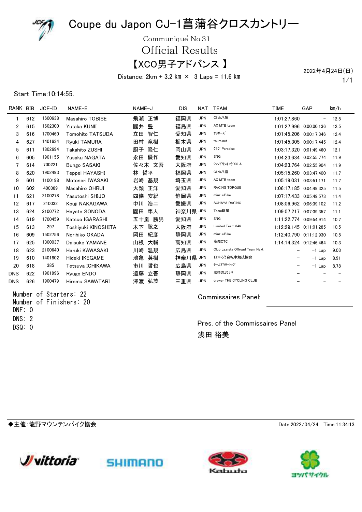

Communique<sup>'</sup> No.31

Official Results

【XCO男子アドバンス 】

Distance:  $2km + 3.2 km \times 3$  Laps = 11.6 km

1/1 2022年4月24日(日)

#### Start Time:10:14:55.

| RANK BIB   |     | $JCF$ -ID | NAME-E              | NAME-J   | DIS      | <b>NAT</b> | <b>TEAM</b>                     | <b>TIME</b>              | GAP      | km/h |
|------------|-----|-----------|---------------------|----------|----------|------------|---------------------------------|--------------------------|----------|------|
|            | 612 | 1600638   | Masahiro TOBISE     | 飛瀬 正博    | 福岡県      | <b>JPN</b> | Click八幡                         | 1:01:27.860              |          | 12.5 |
| 2          | 615 | 1602300   | Yutaka KUNII        | 豊<br>國井  | 福島県      | <b>JPN</b> | AX MTB team                     | 1:01:27.996 0:00:00.136  |          | 12.5 |
| 3          | 616 | 1700460   | Tomohito TATSUDA    | 智仁<br>立田 | 愛知県      | <b>JPN</b> | サッサーズ                           | 1:01:45.206 0:00:17.346  |          | 12.4 |
| 4          | 627 | 1401634   | <b>Ryuki TAMURA</b> | 田村<br>竜樹 | 栃木県      | <b>JPN</b> | tours.net                       | 1:01:45.305 0:00:17.445  |          | 12.4 |
| 5          | 611 | 1802694   | Takahito ZUSHI      | 隆仁<br>厨子 | 岡山県      | <b>JPN</b> | クラブ Paradiso                    | 1:03:17.320 0:01:49.460  |          | 12.1 |
| 6          | 605 | 1901155   | Yusaku NAGATA       | 優作<br>永田 | 愛知県      | <b>JPN</b> | SNG                             | 1:04:23.634 0:02:55.774  |          | 11.9 |
|            | 614 | 700221    | <b>Bungo SASAKI</b> | 佐々木 文吾   | 大阪府      | <b>JPN</b> | シマノドリンキング XC A                  | 1:04:23.764 0:02:55.904  |          | 11.9 |
| 8          | 620 | 1902493   | Teppei HAYASHI      | 哲平<br>林  | 福岡県      | <b>JPN</b> | Click八幡                         | 1:05:15.260 0:03:47.400  |          | 11.7 |
| 9          | 601 | 1100198   | Motonori IWASAKI    | 岩崎<br>基規 | 埼玉県      | <b>JPN</b> | AX MTB team                     | 1:05:19.031 0:03:51.171  |          | 11.7 |
| 10         | 602 | 400389    | Masahiro OHRUI      | 大類<br>正洋 | 愛知県      | <b>JPN</b> | <b>RACING TORQUE</b>            | 1:06:17.185 0:04:49.325  |          | 11.5 |
| 11         | 621 | 2100278   | Yasutoshi SHIJO     | 四條<br>安紀 | 静岡県      | <b>JPN</b> | minzuuBike                      | 1:07:17.433 0:05:49.573  |          | 11.4 |
| 12         | 617 | 210032    | Kouji NAKAGAWA      | 中川 浩二    | 愛媛県      | <b>JPN</b> | SOHAYA RACING                   | 1:08:06.962 0:06:39.102  |          | 11.2 |
| 13         | 624 | 2100772   | Havato SONODA       | 隼人<br>園田 | 神奈川県 JPN |            | Team轍屋                          | 1:09:07.217 0:07:39.357  |          | 11.1 |
| 14         | 619 | 1700459   | Katsuo IGARASHI     | 五十嵐 勝男   | 愛知県      | <b>JPN</b> | SNG                             | 1:11:22.774 0:09:54.914  |          | 10.7 |
| 15         | 613 | 297       | Toshivuki KINOSHITA | 聡之<br>木下 | 大阪府      | <b>JPN</b> | Limited Team 846                | 1:12:29.145 0:11:01.285  |          | 10.5 |
| 16         | 609 | 1502756   | Norihiko OKADA      | 紀彦<br>岡田 | 静岡県      | <b>JPN</b> | minzuuBike                      | 1:12:40.790 0:11:12.930  |          | 10.5 |
| 17         | 625 | 1300037   | Daisuke YAMANE      | 山根<br>大輔 | 高知県      | <b>JPN</b> | 高知CTC                           | 1:14:14.324 0:12:46.464  |          | 10.3 |
| 18         | 623 | 2100640   | Haruki KAWASAKI     | 温規<br>川崎 | 広島県      | <b>JPN</b> | Club La.sista Offroad Team Next |                          | $-1$ Lap | 9.03 |
| 19         | 610 | 1401802   | Hideki IKEGAME      | 池亀<br>英樹 | 神奈川県     | <b>JPN</b> | 日本ろう自転車競技協会                     | $\overline{\phantom{m}}$ | $-1$ Lap | 8.91 |
| 20         | 618 | 385       | Tetsuva ICHIKAWA    | 哲也<br>市川 | 広島県      | <b>JPN</b> | チームアウタートップ                      | $\overline{\phantom{m}}$ | $-1$ Lap | 8.78 |
| <b>DNS</b> | 622 | 1901996   | Ryugo ENDO          | 遠藤<br>立吾 | 静岡県      | <b>JPN</b> | お茶のカワサキ                         |                          |          |      |
| <b>DNS</b> | 626 | 1900479   | Hiromu SAWATARI     | 弘茂<br>澤渡 | 三重県      | <b>JPN</b> | drawer THE CYCLING CLUB         |                          |          |      |

Number of Starters: 22 Number of Finishers: 20 DNS: 2 DNF: 0 DSQ: 0

Commissaires Panel:

Pres. of the Commissaires Panel 浅田 裕美

◆主催:龍野マウンテンバイク協会 Date:2022/04/24 Time:11:34:13



sumann



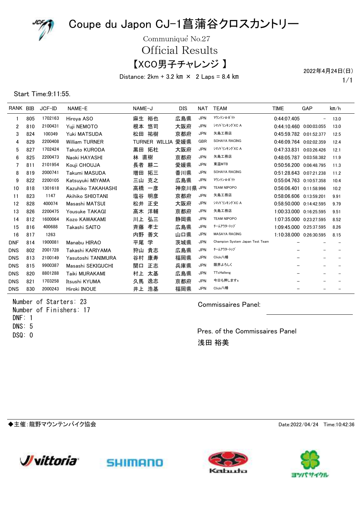

Communique<sup>'</sup> No.27

Official Results

【XCO男子チャレンジ 】

Distance:  $2km + 3.2 km \times 2$  Laps = 8.4 km

1/1 2022年4月24日(日)

#### Start Time:9:11:55.

| RANK BIB   |     | JCF-ID  | NAME-E                | NAME-J        | <b>DIS</b> | <b>NAT</b> | <b>TEAM</b>                     | <b>TIME</b>             | GAP | km/h |
|------------|-----|---------|-----------------------|---------------|------------|------------|---------------------------------|-------------------------|-----|------|
|            | 805 | 1702163 | Hiroya ASO            | 裕也<br>麻生      | 広島県        | <b>JPN</b> | マウンテン☆ポテト                       | 0:44:07.405             | -   | 13.0 |
| 2          | 810 | 2100431 | Yuji NEMOTO           | 悠司<br>根本      | 大阪府        | <b>JPN</b> | シマノドリンキング XC A                  | 0:44:10.460 0:00:03.055 |     | 13.0 |
| 3          | 824 | 100349  | Yuki MATSUDA          | 祐樹<br>松田      | 京都府        | <b>JPN</b> | 矢島工務店                           | 0:45:59.782 0:01:52.377 |     | 12.5 |
| 4          | 829 | 2200408 | <b>William TURNER</b> | TURNER WILLIA | 愛媛県        | <b>GBR</b> | SOHAYA RACING                   | 0:46:09.764 0:02:02.359 |     | 12.4 |
| 5          | 827 | 1702424 | Takuto KURODA         | 拓杜<br>黒田      | 大阪府        | <b>JPN</b> | シマノト <sup>・</sup> リンキング XC A    | 0:47:33.831 0:03:26.426 |     | 12.1 |
| 6          | 825 | 2200473 | Naoki HAYASHI         | 直樹<br>林       | 京都府        | <b>JPN</b> | 矢島工務店                           | 0:48:05.787 0:03:58.382 |     | 11.9 |
| 7          | 811 | 2101954 | Kouji CHOUJA          | 耕二<br>長者      | 愛媛県        | <b>JPN</b> | 東温MTB                           | 0:50:56.200 0:06:48.795 |     | 11.3 |
| 8          | 819 | 2000741 | Takumi MASUDA         | 拓三<br>増田      | 香川県        | <b>JPN</b> | SOHAYA RACING                   | 0.51:28.643 0.07:21.238 |     | 11.2 |
| 9          | 822 | 2200105 | Katsuyuki MIYAMA      | 克之<br>三山      | 広島県        | <b>JPN</b> | マウンテン☆ポテト                       | 0:55:04.763 0:10:57.358 |     | 10.4 |
| 10         | 818 | 1301618 | Kazuhiko TAKAHASHI    | 高橋<br>一彦      | 神奈川県 JPN   |            | <b>TEAM NIPOPO</b>              | 0:56:06.401 0:11:58.996 |     | 10.2 |
| 11         | 823 | 1147    | Akihiko SHIOTANI      | 塩谷<br>明彦      | 京都府        | <b>JPN</b> | 矢島工務店                           | 0:58:06.606 0:13:59.201 |     | 9.91 |
| 12         | 828 | 400074  | Masashi MATSUI        | 松井<br>正史      | 大阪府        | <b>JPN</b> | シマノドリンキング XC A                  | 0:58:50.000 0:14:42.595 |     | 9.79 |
| 13         | 826 | 2200475 | Yousuke TAKAGI        | 洋輔<br>高木      | 京都府        | <b>JPN</b> | 矢島工務店                           | 1:00:33.000 0:16:25.595 |     | 9.51 |
| 14         | 812 | 1600064 | Kozo KAWAKAMI         | 弘三<br>川上      | 静岡県        | <b>JPN</b> | <b>TEAM NIPOPO</b>              | 1:07:35.000 0:23:27.595 |     | 8.52 |
| 15         | 816 | 400688  | Takashi SAITO         | 斉藤<br>孝士      | 広島県        | <b>JPN</b> | チームアウタートップ                      | 1:09:45.000 0:25:37.595 |     | 8.26 |
| 16         | 817 | 1263    |                       | 内野<br>善文      | 山口県        | <b>JPN</b> | <b>MASAYA RACING</b>            | 1:10:38.000 0:26:30.595 |     | 8.15 |
| <b>DNF</b> | 814 | 1900081 | Manabu HIRAO          | 学<br>平尾       | 茨城県        | JPN        | Champion System Japan Test Team |                         |     |      |
| <b>DNS</b> | 802 | 2001728 | Takashi KARIYAMA      | 貴志<br>狩山      | 広島県        | <b>JPN</b> | チームアウタートップ                      |                         |     |      |
| <b>DNS</b> | 813 | 2100149 | Yasutoshi TANIMURA    | 康寿<br>谷村      | 福岡県        | <b>JPN</b> | Click八幡                         |                         |     |      |
| <b>DNS</b> | 815 | 9900387 | Masashi SEKIGUCHI     | 関口<br>正志      | 兵庫県        | <b>JPN</b> | 限界よろしく                          |                         |     |      |
| <b>DNS</b> | 820 | 8801288 | Taiki MURAKAMI        | 太基<br>村上      | 広島県        | <b>JPN</b> | TTcHalleng                      |                         |     |      |
| <b>DNS</b> | 821 | 1703258 | Itsushi KYUMA         | 逸志<br>久馬      | 京都府        | <b>JPN</b> | 今日も押しますs                        |                         |     |      |
| <b>DNS</b> | 830 | 2000243 | Hiroki INOUE          | 浩基<br>井上      | 福岡県        | <b>JPN</b> | Click八幡                         |                         |     |      |

Number of Starters: 23 Number of Finishers: 17 DNS: 5 DNF: 1 DSQ: 0

Commissaires Panel:

Pres. of the Commissaires Panel 浅田 裕美

◆主催:龍野マウンテンバイク協会 Date:2022/04/24 Time:10:42:36







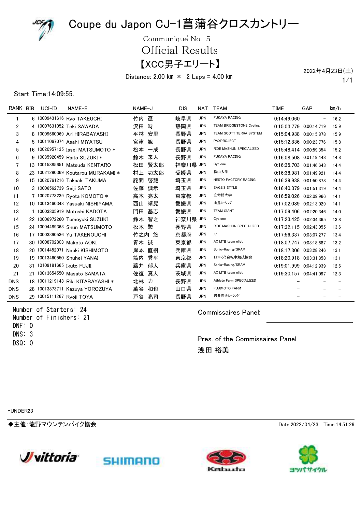

Communique<sup>'</sup> No. 5

Official Results

【XCC男子エリート】

Distance: 2.00 km  $\times$  2 Laps = 4.00 km

1/1 2022年4月23日(土)

#### Start Time:14:09:55.

| RANK BIB       | UCI-ID                     | NAME-E                             | NAME-J |     | <b>DIS</b> | NAT        | <b>TEAM</b>                     | <b>TIME</b>                 | GAP                      | km/h |
|----------------|----------------------------|------------------------------------|--------|-----|------------|------------|---------------------------------|-----------------------------|--------------------------|------|
| 1              |                            | 6 10009431616 Rvo TAKEUCHI         | 竹内     | 潦   | 岐阜県        | <b>JPN</b> | <b>FUKAYA RACING</b>            | 0:14:49.060                 | $\overline{\phantom{a}}$ | 16.2 |
| $\overline{c}$ |                            | 4 10007631052 Toki SAWADA          | 沢田     | 時   | 静岡県        | <b>JPN</b> | <b>TEAM BRIDGESTONE Cycling</b> | 0:15:03.779 0:00:14.719     |                          | 15.9 |
| 3              |                            | 8 10009660069 Ari HIRABAYASHI      | 平林     | 安里  | 長野県        | <b>JPN</b> | TEAM SCOTT TERRA SYSTEM         | 0:15:04.938 0:00:15.878     |                          | 15.9 |
| 4              |                            | 5 10011067074 Asahi MIYATSU        | 宮津     | 旭   | 長野県        | <b>JPN</b> | PAXPROJECT                      | 0.15.12.836 0.00.23.776     |                          | 15.8 |
| 5              |                            | 16 10020957135 Issei MATSUMOTO *   | 松本     | 一成  | 長野県        | <b>JPN</b> | RIDE MASHUN SPECIALIZED         | 0:15:48.414 0:00:59.354     |                          | 15.2 |
| 6              |                            | 9 10085920459 Raito SUZUKI *       | 鈴木     | 来人  | 長野県        | JPN        | <b>FUKAYA RACING</b>            | $0:16:08.508$ $0:01:19.448$ |                          | 14.8 |
| 7              |                            | 13 10015885651 Matsuda KENTARO     | 松田     | 腎太郎 | 神奈川県 JPN   |            | Cyclone                         | 0:16:35.703 0:01:46.643     |                          | 14.4 |
| 8              |                            | 23 10021290369 Koutarou MURAKAMI * | 村上     | 功太郎 | 愛媛県        | JPN        | 松山大学                            | 0.16:38.981 0.01:49.921     |                          | 14.4 |
| 9              |                            | 15 10020761216 Takaaki TAKUMA      | 詫間     | 啓耀  | 埼玉県        | <b>JPN</b> | <b>NESTO FACTORY RACING</b>     | 0.16:39.938 0.01:50.878     |                          | 14.4 |
| 10             | 3 10006562739 Seiji SATO   |                                    | 佐藤     | 誠示  | 埼玉県        | JPN        | SAGE'S STYLE                    | 0.16.40.379 0.01.51.319     |                          | 14.4 |
| 11             |                            | 7 10020773239 Ryota KOMOTO *       | 高本     | 亮太  | 東京都        | <b>JPN</b> | 立命館大学                           | 0:16:59.026 0:02:09.966     |                          | 14.1 |
| 12             |                            | 10 10013460348 Yasuaki NISHIYAMA   | 西山     | 靖晃  | 愛媛県        | <b>JPN</b> | 山鳥レーシング                         | 0:17:02.089 0:02:13.029     |                          | 14.1 |
| 13             |                            | 10003805919 Motoshi KADOTA         | 門田     | 基志  | 愛媛県        | <b>JPN</b> | <b>TEAM GIANT</b>               | 0:17:09.406 0:02:20.346     |                          | 14.0 |
| 14             |                            | 22 10006972260 Tomoyuki SUZUKI     | 鈴木     | 智之  | 神奈川県 JPN   |            | Cyclone                         | 0:17:23.425 0:02:34.365     |                          | 13.8 |
| 15             |                            | 24 10004489363 Shun MATSUMOTO      | 松本     | 駿   | 長野県        | <b>JPN</b> | RIDE MASHUN SPECIALIZED         | 0:17:32.115 0:02:43.055     |                          | 13.6 |
| 16             |                            | 17 10003390536 Yu TAKENOUCHI       | 竹之内    | 悠   | 京都府        | <b>JPN</b> | $\frac{1}{2}$                   | 0:17:56.337 0:03:07.277     |                          | 13.4 |
| 17             |                            | 30 10008702803 Makoto AOKI         | 青木     | 誠   | 東京都        | <b>JPN</b> | AX MTB team eliet               | 0.18.07.747 0.03.18.687     |                          | 13.2 |
| 18             |                            | 20 10014452071 Naoki KISHIMOTO     | 岸本     | 直樹  | 兵庫県        | <b>JPN</b> | Sonic-Racing/SRAM               | 0:18:17.306 0:03:28.246     |                          | 13.1 |
| 19             |                            | 19 10013460550 Shuhei YANAI        | 箭内     | 秀平  | 東京都        | <b>JPN</b> | 日本ろう自転車競技協会                     | 0.18.20.918 0.03:31.858     |                          | 13.1 |
| 20             | 31 10109181665 Ikuto FUJII |                                    | 藤井     | 郁人  | 兵庫県        | <b>JPN</b> | Sonic-Racing/SRAM               | 0.19.01.999 0.04.12.939     |                          | 12.6 |
| 21             |                            | 21 10013654550 Masato SAMATA       | 佐復     | 真人  | 茨城県        | <b>JPN</b> | AX MTB team eliet               | 0:19:30.157 0:04:41.097     |                          | 12.3 |
| <b>DNS</b>     |                            | 18 10011219143 Riki KITABAYASHI *  | 北林     | 力   | 長野県        | <b>JPN</b> | Athlete Farm SPECIALIZED        |                             |                          |      |
| <b>DNS</b>     |                            | 28 10013873711 Kazuya YOROZUYA     | 萬谷     | 和也  | 山口県        | <b>JPN</b> | <b>FUJIMOTO FARM</b>            |                             |                          |      |
| <b>DNS</b>     |                            | 29 10015111267 Ryoji TOYA          | 戸谷     | 亮司  | 長野県        | <b>JPN</b> | 岩井商会レーシング                       |                             |                          |      |

Number of Starters: 24 Number of Finishers: 21 DNS: 3 DNF: 0 DSQ: 0

Commissaires Panel:

Pres. of the Commissaires Panel 浅田 裕美

\*UNDER23

◆主催:龍野マウンテンバイク協会 Date:2022/04/23 Time:14:51:29







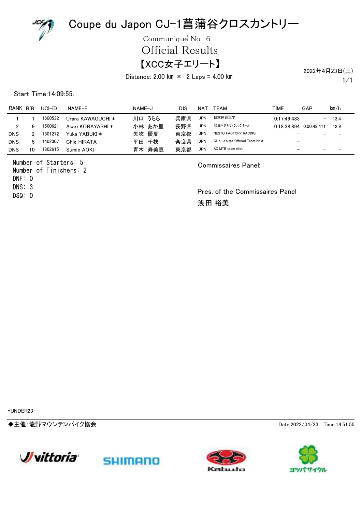

Communique<sup>'</sup> No. 6

Official Results

### 【XCC女子エリート】

Distance: 2.00 km  $\times$  2 Laps = 4.00 km

1/1 2022年4月23日(土)

Start Time:14:09:55.

| RANK       | <b>BIB</b> | $UCI$ -ID | NAME-E            | NAME-J | DIS | NAT        | TFAM                            | TIME        | GAP                      | km/h                     |
|------------|------------|-----------|-------------------|--------|-----|------------|---------------------------------|-------------|--------------------------|--------------------------|
|            |            | 1600532   | Urara KAWAGUCHI * | 川口 うらら | 兵庫県 | <b>JPN</b> | 日本体育大学                          | 0.17.49.483 | $\qquad \qquad -$        | 13.4                     |
| 2          | 9          | 1500621   | Akari KOBAYASHI * | 小林 あか里 | 長野県 | <b>JPN</b> | 弱虫ペダルサイクリングチーム                  | 0:18:38.894 | 0.00149411               | 12.9                     |
| <b>DNS</b> |            | 1801272   | Yuka YABUKI *     | 矢吹 優夏  | 東京都 | <b>JPN</b> | NESTO FACTORY RACING            |             |                          |                          |
| <b>DNS</b> | 5          | 1402307   | Chie HIRATA       | 平田 千枝  | 奈良県 | <b>JPN</b> | Club La.sista Offroad Team Next |             | $\overline{\phantom{m}}$ | $\overline{\phantom{a}}$ |
| <b>DNS</b> | 10         | 1802615   | Sumie AOKI        | 青木 寿美恵 | 東京都 | <b>JPN</b> | AX MTB team eliet               |             | $\overline{\phantom{0}}$ | $\overline{\phantom{a}}$ |

Number of Starters: 5 Number of Finishers: 2 DNS: 3 DNF: 0

DSQ: 0

Commissaires Panel:

Pres. of the Commissaires Panel 浅田 裕美

\*UNDER23

◆主催:龍野マウンテンバイク協会 Date:2022/04/23 Time:14:51:55